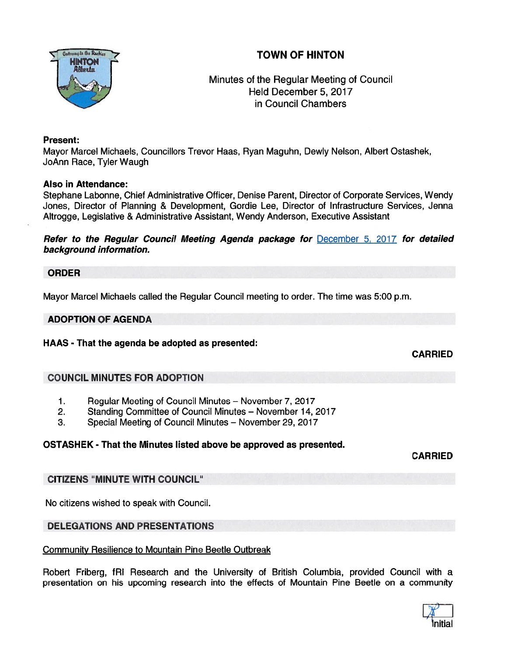## TOWN OF HINTON



## Minutes of the Regular Meeting of Council Held December 5, 2017 in Council Chambers

#### Present:

Mayor Marcel Michaels, Councillors Trevor Haas, Ryan Maguhn, Dewly Nelson, Albert Ostashek, JoAnn Race, Tyler Waugh

## Also in Attendance:

Stephane Labonne, Chief Administrative Officer, Denise Parent, Director of Corporate Services, Wendy Jones, Director of Planning & Development, Gordie Lee, Director of Infrastructure Services, Jenna Altrogge, Legislative & Administrative Assistant, Wendy Anderson, Executive Assistant

Refer to the Regular Council Meeting Agenda package for December 5, 2017 for detailed background information.

#### ORDER

Mayor Marcel Michaels called the Regular Council meeting to order. The time was 5:00 p.m.

## ADOPTION OF AGENDA

HAAS - That the agenda be adopted as presented:

CARRIED

## COUNCIL MINUTES FOR ADOPTION

- 1. Regular Meeting of Council Minutes November 7, 2017
- 2. Standing Committee of Council Minutes November 14, 2017
- 3. Special Meeting of Council Minutes November 29, 2017

## OSTASHEK - That the Minutes listed above be approved as presented.

CARRIED

## CITIZENS "MINUTE WITH COUNCIL"

No citizens wished to speak with Council.

## DELEGATIONS AND PRESENTATIONS

## Community Resilience to Mountain Pine Beetle Outbreak

Robert Friberg, fRI Research and the University of British Columbia, provided Council with a presentation on his upcoming research into the effects of Mountain Pine Beetle on <sup>a</sup> community

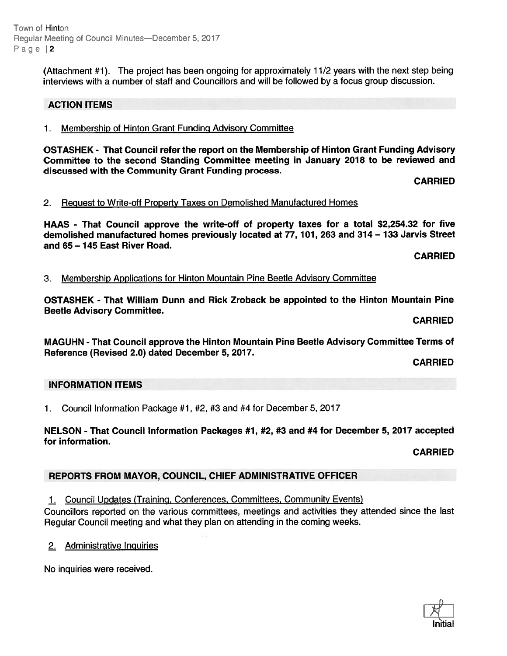Town of Hinton Reqular Meeting of Council Minutes—December 5, 2017 Page 2

> (Attachment #1). The project has been ongoing for approximately 11/2 years with the next step being interviews with <sup>a</sup> number of staff and Councillors and will be followed by <sup>a</sup> focus group discussion.

## ACTION ITEMS

## 1. Membership of Hinton Grant Funding Advisory Committee

OSTASHEK - That Council refer the repor<sup>t</sup> on the Membership of Hinton Grant Funding Advisory Committee to the second Standing Committee meeting in January 2018 to be reviewed and discussed with the Community Grant Funding process.

CARRIED

## 2. Request to Write-off Property Taxes on Demolished Manufactured Homes

HAAS - That Council approve the write-off of property taxes for <sup>a</sup> total \$2,254.32 for five demolished manufactured homes previously located at 77, 101, 263 and 314— 133 Jarvis Street and 65 — 145 East River Road.

CARRIED

## 3. Membership Applications for Hinton Mountain Pine Beetle Advisory Committee

OSTASHEK - That William Dunn and Rick Zroback be appointed to the Hinton Mountain Pine Beetle Advisory Committee.

CARRIED

MAGUHN - That Council approve the Hinton Mountain Pine Beetle Advisory Committee Terms of Reference (Revised 2.0) dated December 5, 2017.

CARRIED

## INFORMATION ITEMS

1. Council Information Package #1, #2, #3 and #4 for December 5, 2017

## NELSON - That Council Information Packages #1, #2, #3 and #4 for December 5, 2017 accepted for information.

CARRIED

## REPORTS FROM MAYOR, COUNCIL, CHIEF ADMINISTRATIVE OFFICER

1. Council Updates (Training, Conferences, Committees, Community Events)

Councillors reported on the various committees, meetings and activities they attended since the last Regular Council meeting and what they plan on attending in the coming weeks.

2. Administrative Inquiries

No inquiries were received.

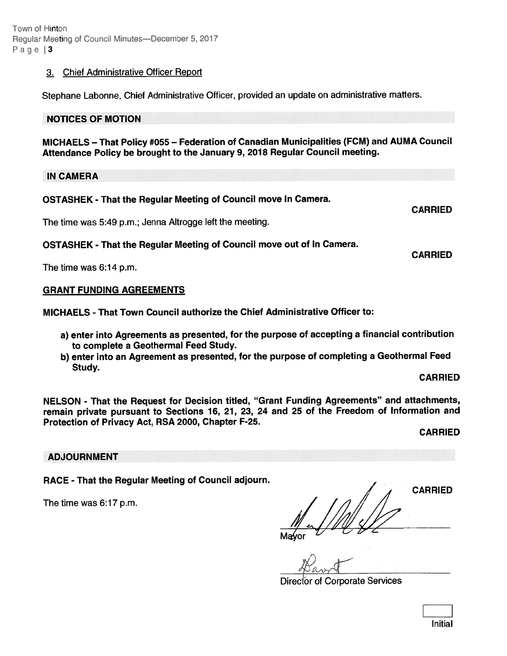## 3. Chief Administrative Officer Report

Stephane Labonne, Chief Administrative Officer, provided an update on administrative matters.

#### NOTICES OF MOTION

MICHAELS — That Policy #055 — Federation of Canadian Municipalities (FCM) and AUMA Council Attendance Policy be brought to the January 9, <sup>2078</sup> Regular Council meeting.

IN CAMERA

| OSTASHEK - That the Regular Meeting of Council move In Camera. |  |  |  |  |
|----------------------------------------------------------------|--|--|--|--|
|                                                                |  |  |  |  |

The time was 5:49 p.m.; Jenna Altrogge left the meeting.

OSTASHEK - That the Regular Meeting of Council move out of In Camera.

The time was 6:14 p.m.

#### GRANT FUNDING AGREEMENTS

MICHAELS - That Town Council authorize the Chief Administrative Officer to:

- a) enter into Agreements as presented, for the purpose of accepting <sup>a</sup> financial contribution to complete <sup>a</sup> Geothermal Feed Study.
- b) enter into an Agreement as presented, for the purpose of completing <sup>a</sup> Geothermal Feed Study.

#### CARRIED

CARRIED

CARRIED

NELSON - That the Request for Decision titled, "Grant Funding Agreements" and attachments, remain private pursuant to Sections 16, 21, 23, 24 and 25 of the Freedom of Information and Protection of Privacy Act, RSA 2000, Chapter F-25.

CARRIED

#### ADJOURNMENT

RACE - That the Regular Meeting of Council adjourn.<br>
CARRIED

The time was  $6:17$  p.m.

Director of Corporate Services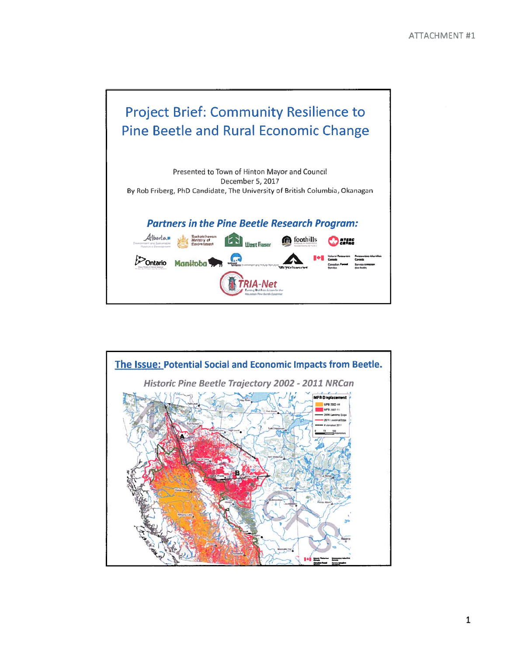# Project Brief: Community Resilience to Pine Beetle and Rural Economic Change

Presented to Town of Hinton Mayor and Council December 5, 2017 By Rob Friberg, PhD Candidate, The University of British Columbia, Okanagan Partners in the Pine Beetle Research Program: Alborta = **kw "Environment LAN** Ulget Fraser CRS Coothills CREATED t<sup>></sup>Ontario Manitoba **A1** TRIA-Net

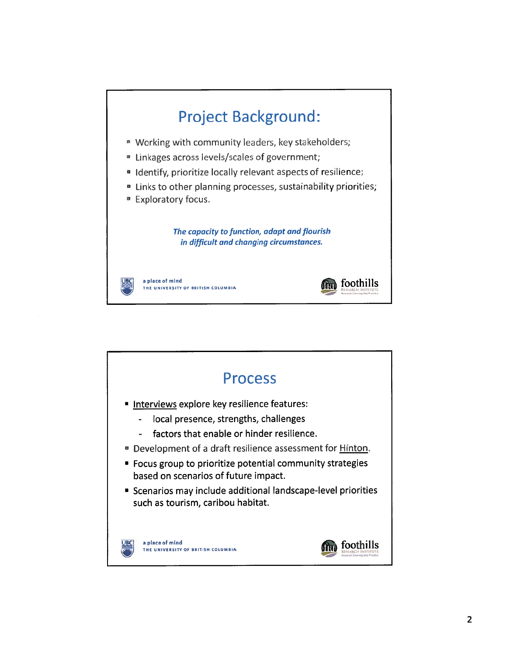

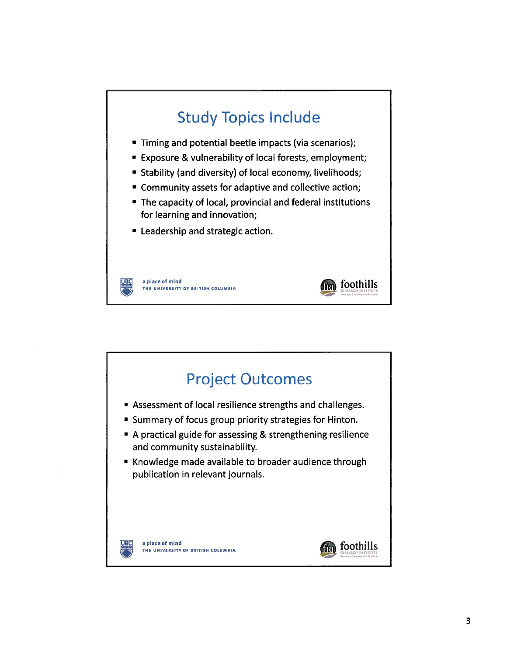